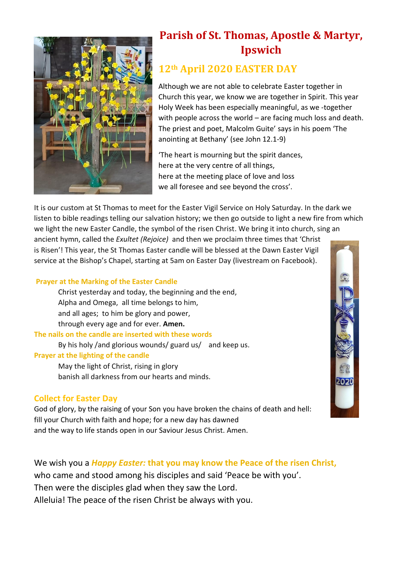

# **Parish of St. Thomas, Apostle & Martyr, Ipswich**

# **12th April 2020 EASTER DAY**

Although we are not able to celebrate Easter together in Church this year, we know we are together in Spirit. This year Holy Week has been especially meaningful, as we -together with people across the world – are facing much loss and death. The priest and poet, Malcolm Guite' says in his poem 'The anointing at Bethany' (see John 12.1-9)

'The heart is mourning but the spirit dances, here at the very centre of all things, here at the meeting place of love and loss we all foresee and see beyond the cross'.

It is our custom at St Thomas to meet for the Easter Vigil Service on Holy Saturday. In the dark we listen to bible readings telling our salvation history; we then go outside to light a new fire from which we light the new Easter Candle, the symbol of the risen Christ. We bring it into church, sing an ancient hymn, called the *Exultet (Rejoice)* and then we proclaim three times that 'Christ is Risen'! This year, the St Thomas Easter candle will be blessed at the Dawn Easter Vigil service at the Bishop's Chapel, starting at 5am on Easter Day (livestream on Facebook).

# **Prayer at the Marking of the Easter Candle**

Christ yesterday and today, the beginning and the end, Alpha and Omega, all time belongs to him, and all ages; to him be glory and power, through every age and for ever. **Amen.** 

**The nails on the candle are inserted with these words** 

By his holy /and glorious wounds/ guard us/ and keep us.

# **Prayer at the lighting of the candle**

May the light of Christ, rising in glory banish all darkness from our hearts and minds.

# **Collect for Easter Day**

God of glory, by the raising of your Son you have broken the chains of death and hell: fill your Church with faith and hope; for a new day has dawned and the way to life stands open in our Saviour Jesus Christ. Amen.

We wish you a *Happy Easter:* **that you may know the Peace of the risen Christ,**  who came and stood among his disciples and said 'Peace be with you'. Then were the disciples glad when they saw the Lord. Alleluia! The peace of the risen Christ be always with you.

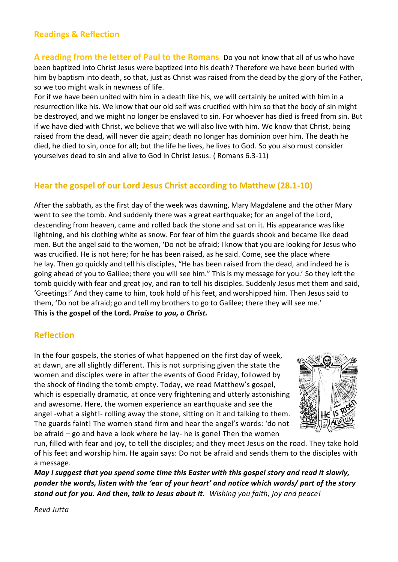# **Readings & Reflection**

**A reading from the letter of Paul to the Romans** Do you not know that all of us who have been baptized into Christ Jesus were baptized into his death? Therefore we have been buried with him by baptism into death, so that, just as Christ was raised from the dead by the glory of the Father, so we too might walk in newness of life.

For if we have been united with him in a death like his, we will certainly be united with him in a resurrection like his. We know that our old self was crucified with him so that the body of sin might be destroyed, and we might no longer be enslaved to sin. For whoever has died is freed from sin. But if we have died with Christ, we believe that we will also live with him. We know that Christ, being raised from the dead, will never die again; death no longer has dominion over him. The death he died, he died to sin, once for all; but the life he lives, he lives to God. So you also must consider yourselves dead to sin and alive to God in Christ Jesus. ( Romans 6.3-11)

# **Hear the gospel of our Lord Jesus Christ according to Matthew (28.1-10)**

After the sabbath, as the first day of the week was dawning, Mary Magdalene and the other Mary went to see the tomb. And suddenly there was a great earthquake; for an angel of the Lord, descending from heaven, came and rolled back the stone and sat on it. His appearance was like lightning, and his clothing white as snow. For fear of him the guards shook and became like dead men. But the angel said to the women, 'Do not be afraid; I know that you are looking for Jesus who was crucified. He is not here; for he has been raised, as he said. Come, see the place where he lay. Then go quickly and tell his disciples, "He has been raised from the dead, and indeed he is going ahead of you to Galilee; there you will see him." This is my message for you.' So they left the tomb quickly with fear and great joy, and ran to tell his disciples. Suddenly Jesus met them and said, 'Greetings!' And they came to him, took hold of his feet, and worshipped him. Then Jesus said to them, 'Do not be afraid; go and tell my brothers to go to Galilee; there they will see me.' **This is the gospel of the Lord.** *Praise to you, o Christ.*

# **Reflection**

In the four gospels, the stories of what happened on the first day of week, at dawn, are all slightly different. This is not surprising given the state the women and disciples were in after the events of Good Friday, followed by the shock of finding the tomb empty. Today, we read Matthew's gospel, which is especially dramatic, at once very frightening and utterly astonishing and awesome. Here, the women experience an earthquake and see the angel -what a sight!- rolling away the stone, sitting on it and talking to them. The guards faint! The women stand firm and hear the angel's words: 'do not be afraid – go and have a look where he lay- he is gone! Then the women



run, filled with fear and joy, to tell the disciples; and they meet Jesus on the road. They take hold of his feet and worship him. He again says: Do not be afraid and sends them to the disciples with a message.

*May I suggest that you spend some time this Easter with this gospel story and read it slowly, ponder the words, listen with the 'ear of your heart' and notice which words/ part of the story stand out for you. And then, talk to Jesus about it. Wishing you faith, joy and peace!*

*Revd Jutta*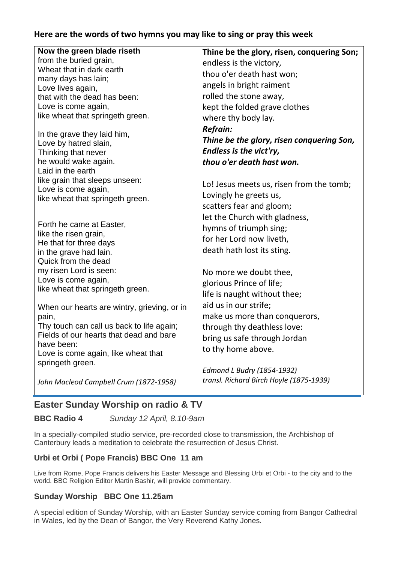# **Here are the words of two hymns you may like to sing or pray this week**

| Now the green blade riseth                              | Thine be the glory, risen, conquering Son; |
|---------------------------------------------------------|--------------------------------------------|
| from the buried grain,                                  | endless is the victory,                    |
| Wheat that in dark earth                                | thou o'er death hast won;                  |
| many days has lain;                                     | angels in bright raiment                   |
| Love lives again,                                       |                                            |
| that with the dead has been:                            | rolled the stone away,                     |
| Love is come again,                                     | kept the folded grave clothes              |
| like wheat that springeth green.                        | where thy body lay.                        |
|                                                         | <b>Refrain:</b>                            |
| In the grave they laid him,<br>Love by hatred slain,    | Thine be the glory, risen conquering Son,  |
| Thinking that never                                     | Endless is the vict'ry,                    |
| he would wake again.                                    | thou o'er death hast won.                  |
| Laid in the earth                                       |                                            |
| like grain that sleeps unseen:                          |                                            |
| Love is come again,                                     | Lo! Jesus meets us, risen from the tomb;   |
| like wheat that springeth green.                        | Lovingly he greets us,                     |
|                                                         | scatters fear and gloom;                   |
|                                                         | let the Church with gladness,              |
| Forth he came at Easter,                                | hymns of triumph sing;                     |
| like the risen grain,                                   | for her Lord now liveth,                   |
| He that for three days                                  | death hath lost its sting.                 |
| in the grave had lain.                                  |                                            |
| Quick from the dead                                     |                                            |
| my risen Lord is seen:                                  | No more we doubt thee,                     |
| Love is come again,<br>like wheat that springeth green. | glorious Prince of life;                   |
|                                                         | life is naught without thee;               |
| When our hearts are wintry, grieving, or in             | aid us in our strife;                      |
| pain,                                                   | make us more than conquerors,              |
| Thy touch can call us back to life again;               | through thy deathless love:                |
| Fields of our hearts that dead and bare                 |                                            |
| have been:                                              | bring us safe through Jordan               |
| Love is come again, like wheat that                     | to thy home above.                         |
| springeth green.                                        |                                            |
|                                                         | Edmond L Budry (1854-1932)                 |
| John Macleod Campbell Crum (1872-1958)                  | transl. Richard Birch Hoyle (1875-1939)    |
|                                                         |                                            |

# **Easter Sunday Worship on radio & TV**

**BBC Radio 4** *Sunday 12 April, 8.10-9am*

In a specially-compiled studio service, pre-recorded close to transmission, the Archbishop of Canterbury leads a meditation to celebrate the resurrection of Jesus Christ.

# **Urbi et Orbi ( Pope Francis) BBC One 11 am**

Live from Rome, Pope Francis delivers his Easter Message and Blessing Urbi et Orbi - to the city and to the world. BBC Religion Editor Martin Bashir, will provide commentary.

# **Sunday Worship BBC One 11.25am**

A special edition of Sunday Worship, with an Easter Sunday service coming from Bangor Cathedral in Wales, led by the Dean of Bangor, the Very Reverend Kathy Jones.